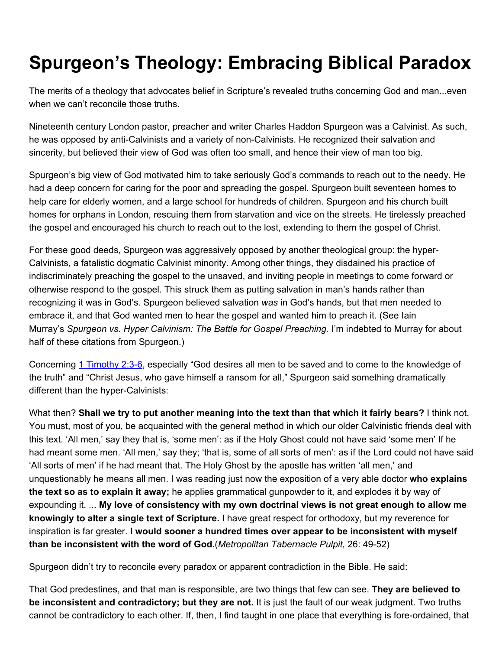## Spurgeon's Theology: Embracing Biblical Paradox

The merits of a theology that advocates belief in Scripture's revealed truths concerning God and man...even when we can't reconcile those truths.

Nineteenth century London pastor, preacher and writer Charles Haddon Spurgeon was a Calvinist. As such, he was opposed by anti-Calvinists and a variety of non-Calvinists. He recognized their salvation and sincerity, but believed their view of God was often too small, and hence their view of man too big.

Spurgeon's big view of God motivated him to take seriously God's commands to reach out to the needy. He had a deep concern for caring for the poor and spreading the gospel. Spurgeon built seventeen homes to help care for elderly women, and a large school for hundreds of children. Spurgeon and his church built homes for orphans in London, rescuing them from starvation and vice on the streets. He tirelessly preached the gospel and encouraged his church to reach out to the lost, extending to them the gospel of Christ.

For these good deeds, Spurgeon was aggressively opposed by another theological group: the hyper-Calvinists, a fatalistic dogmatic Calvinist minority. Among other things, they disdained his practice of indiscriminately preaching the gospel to the unsaved, and inviting people in meetings to come forward or otherwise respond to the gospel. This struck them as putting salvation in man's hands rather than recognizing it was in God's. Spurgeon believed salvation *was* in God's hands, but that men needed to embrace it, and that God wanted men to hear the gospel and wanted him to preach it. (See Iain Murray's *Spurgeon vs. Hyper Calvinism: The Battle for Gospel Preaching.* I'm indebted to Murray for about half of these citations from Spurgeon.)

Concerning 1 [Timothy](http://biblia.com/bible/esv/1%20Timothy%202.3-6) 2:3-6, especially "God desires all men to be saved and to come to the knowledge of the truth" and "Christ Jesus, who gave himself a ransom for all," Spurgeon said something dramatically different than the hyper-Calvinists:

What then? Shall we try to put another meaning into the text than that which it fairly bears? I think not. You must, most of you, be acquainted with the general method in which our older Calvinistic friends deal with this text. 'All men,' say they that is, 'some men': as if the Holy Ghost could not have said 'some men' If he had meant some men. 'All men,' say they; 'that is, some of all sorts of men': as if the Lord could not have said 'All sorts of men' if he had meant that. The Holy Ghost by the apostle has written 'all men,' and unquestionably he means all men. I was reading just now the exposition of a very able doctor who explains the text so as to explain it away; he applies grammatical gunpowder to it, and explodes it by way of expounding it. ... My love of consistency with my own doctrinal views is not great enough to allow me knowingly to alter a single text of Scripture. I have great respect for orthodoxy, but my reverence for inspiration is far greater. I would sooner a hundred times over appear to be inconsistent with myself than be inconsistent with the word of God.(*Metropolitan Tabernacle Pulpit,* 26: 49-52)

Spurgeon didn't try to reconcile every paradox or apparent contradiction in the Bible. He said:

That God predestines, and that man is responsible, are two things that few can see. They are believed to be inconsistent and contradictory; but they are not. It is just the fault of our weak judgment. Two truths cannot be contradictory to each other. If, then, I find taught in one place that everything is fore-ordained, that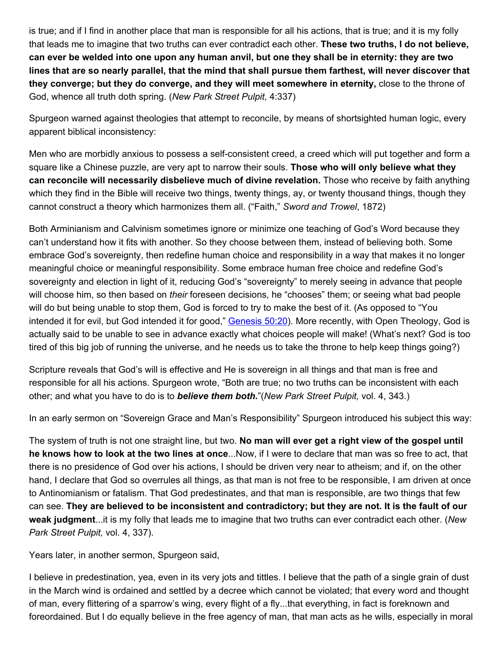is true; and if I find in another place that man is responsible for all his actions, that is true; and it is my folly that leads me to imagine that two truths can ever contradict each other. These two truths, I do not believe, can ever be welded into one upon any human anvil, but one they shall be in eternity: they are two lines that are so nearly parallel, that the mind that shall pursue them farthest, will never discover that they converge; but they do converge, and they will meet somewhere in eternity, close to the throne of God, whence all truth doth spring. (*New Park Street Pulpit*, 4:337)

Spurgeon warned against theologies that attempt to reconcile, by means of shortsighted human logic, every apparent biblical inconsistency:

Men who are morbidly anxious to possess a self-consistent creed, a creed which will put together and form a square like a Chinese puzzle, are very apt to narrow their souls. Those who will only believe what they can reconcile will necessarily disbelieve much of divine revelation. Those who receive by faith anything which they find in the Bible will receive two things, twenty things, ay, or twenty thousand things, though they cannot construct a theory which harmonizes them all. ("Faith," *Sword and Trowel*, 1872)

Both Arminianism and Calvinism sometimes ignore or minimize one teaching of God's Word because they can't understand how it fits with another. So they choose between them, instead of believing both. Some embrace God's sovereignty, then redefine human choice and responsibility in a way that makes it no longer meaningful choice or meaningful responsibility. Some embrace human free choice and redefine God's sovereignty and election in light of it, reducing God's "sovereignty" to merely seeing in advance that people will choose him, so then based on *their* foreseen decisions, he "chooses" them; or seeing what bad people will do but being unable to stop them, God is forced to try to make the best of it. (As opposed to "You intended it for evil, but God intended it for good," [Genesis](http://biblia.com/bible/esv/Genesis%2050.20) 50:20). More recently, with Open Theology, God is actually said to be unable to see in advance exactly what choices people will make! (What's next? God is too tired of this big job of running the universe, and he needs us to take the throne to help keep things going?)

Scripture reveals that God's will is effective and He is sovereign in all things and that man is free and responsible for all his actions. Spurgeon wrote, "Both are true; no two truths can be inconsistent with each other; and what you have to do is to *believe them both.*"(*New Park Street Pulpit,* vol. 4, 343.)

In an early sermon on "Sovereign Grace and Man's Responsibility" Spurgeon introduced his subject this way:

The system of truth is not one straight line, but two. No man will ever get a right view of the gospel until he knows how to look at the two lines at once...Now, if I were to declare that man was so free to act, that there is no presidence of God over his actions, I should be driven very near to atheism; and if, on the other hand, I declare that God so overrules all things, as that man is not free to be responsible, I am driven at once to Antinomianism or fatalism. That God predestinates, and that man is responsible, are two things that few can see. They are believed to be inconsistent and contradictory; but they are not. It is the fault of our weak judgment...it is my folly that leads me to imagine that two truths can ever contradict each other. (*New Park Street Pulpit,* vol. 4, 337).

Years later, in another sermon, Spurgeon said,

I believe in predestination, yea, even in its very jots and tittles. I believe that the path of a single grain of dust in the March wind is ordained and settled by a decree which cannot be violated; that every word and thought of man, every flittering of a sparrow's wing, every flight of a fly...that everything, in fact is foreknown and foreordained. But I do equally believe in the free agency of man, that man acts as he wills, especially in moral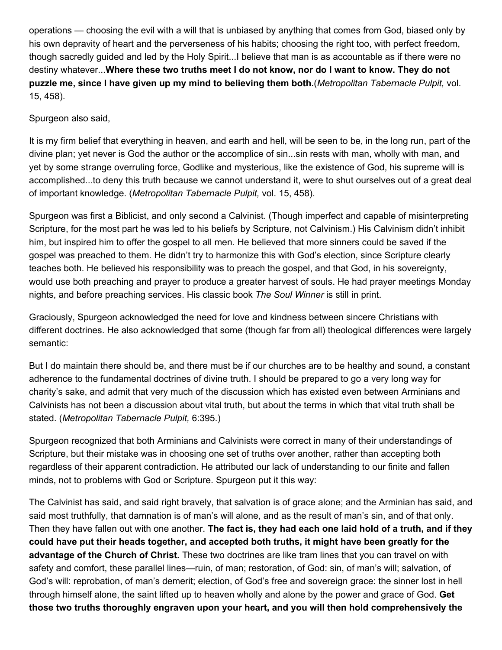operations — choosing the evil with a will that is unbiased by anything that comes from God, biased only by his own depravity of heart and the perverseness of his habits; choosing the right too, with perfect freedom, though sacredly guided and led by the Holy Spirit...I believe that man is as accountable as if there were no destiny whatever...Where these two truths meet I do not know, nor do I want to know. They do not puzzle me, since I have given up my mind to believing them both.(*Metropolitan Tabernacle Pulpit,* vol. 15, 458).

## Spurgeon also said,

It is my firm belief that everything in heaven, and earth and hell, will be seen to be, in the long run, part of the divine plan; yet never is God the author or the accomplice of sin...sin rests with man, wholly with man, and yet by some strange overruling force, Godlike and mysterious, like the existence of God, his supreme will is accomplished...to deny this truth because we cannot understand it, were to shut ourselves out of a great deal of important knowledge. (*Metropolitan Tabernacle Pulpit,* vol. 15, 458).

Spurgeon was first a Biblicist, and only second a Calvinist. (Though imperfect and capable of misinterpreting Scripture, for the most part he was led to his beliefs by Scripture, not Calvinism.) His Calvinism didn't inhibit him, but inspired him to offer the gospel to all men. He believed that more sinners could be saved if the gospel was preached to them. He didn't try to harmonize this with God's election, since Scripture clearly teaches both. He believed his responsibility was to preach the gospel, and that God, in his sovereignty, would use both preaching and prayer to produce a greater harvest of souls. He had prayer meetings Monday nights, and before preaching services. His classic book *The Soul Winner* is still in print.

Graciously, Spurgeon acknowledged the need for love and kindness between sincere Christians with different doctrines. He also acknowledged that some (though far from all) theological differences were largely semantic:

But I do maintain there should be, and there must be if our churches are to be healthy and sound, a constant adherence to the fundamental doctrines of divine truth. I should be prepared to go a very long way for charity's sake, and admit that very much of the discussion which has existed even between Arminians and Calvinists has not been a discussion about vital truth, but about the terms in which that vital truth shall be stated. (*Metropolitan Tabernacle Pulpit,* 6:395.)

Spurgeon recognized that both Arminians and Calvinists were correct in many of their understandings of Scripture, but their mistake was in choosing one set of truths over another, rather than accepting both regardless of their apparent contradiction. He attributed our lack of understanding to our finite and fallen minds, not to problems with God or Scripture. Spurgeon put it this way:

The Calvinist has said, and said right bravely, that salvation is of grace alone; and the Arminian has said, and said most truthfully, that damnation is of man's will alone, and as the result of man's sin, and of that only. Then they have fallen out with one another. The fact is, they had each one laid hold of a truth, and if they could have put their heads together, and accepted both truths, it might have been greatly for the advantage of the Church of Christ. These two doctrines are like tram lines that you can travel on with safety and comfort, these parallel lines—ruin, of man; restoration, of God: sin, of man's will; salvation, of God's will: reprobation, of man's demerit; election, of God's free and sovereign grace: the sinner lost in hell through himself alone, the saint lifted up to heaven wholly and alone by the power and grace of God. Get those two truths thoroughly engraven upon your heart, and you will then hold comprehensively the